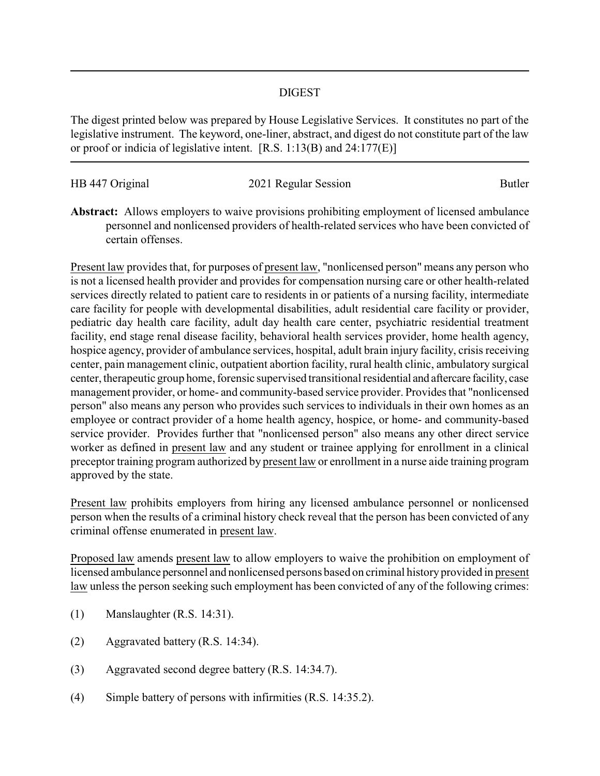## DIGEST

The digest printed below was prepared by House Legislative Services. It constitutes no part of the legislative instrument. The keyword, one-liner, abstract, and digest do not constitute part of the law or proof or indicia of legislative intent. [R.S. 1:13(B) and 24:177(E)]

| HB 447 Original | 2021 Regular Session | Butler |
|-----------------|----------------------|--------|
|                 |                      |        |

**Abstract:** Allows employers to waive provisions prohibiting employment of licensed ambulance personnel and nonlicensed providers of health-related services who have been convicted of certain offenses.

Present law provides that, for purposes of present law, "nonlicensed person" means any person who is not a licensed health provider and provides for compensation nursing care or other health-related services directly related to patient care to residents in or patients of a nursing facility, intermediate care facility for people with developmental disabilities, adult residential care facility or provider, pediatric day health care facility, adult day health care center, psychiatric residential treatment facility, end stage renal disease facility, behavioral health services provider, home health agency, hospice agency, provider of ambulance services, hospital, adult brain injury facility, crisis receiving center, pain management clinic, outpatient abortion facility, rural health clinic, ambulatory surgical center, therapeutic group home, forensic supervised transitional residential and aftercare facility, case management provider, or home- and community-based service provider. Provides that "nonlicensed person" also means any person who provides such services to individuals in their own homes as an employee or contract provider of a home health agency, hospice, or home- and community-based service provider. Provides further that "nonlicensed person" also means any other direct service worker as defined in present law and any student or trainee applying for enrollment in a clinical preceptor training program authorized by present law or enrollment in a nurse aide training program approved by the state.

Present law prohibits employers from hiring any licensed ambulance personnel or nonlicensed person when the results of a criminal history check reveal that the person has been convicted of any criminal offense enumerated in present law.

Proposed law amends present law to allow employers to waive the prohibition on employment of licensed ambulance personnel and nonlicensed persons based on criminal historyprovided in present law unless the person seeking such employment has been convicted of any of the following crimes:

- (1) Manslaughter (R.S. 14:31).
- (2) Aggravated battery (R.S. 14:34).
- (3) Aggravated second degree battery (R.S. 14:34.7).
- (4) Simple battery of persons with infirmities (R.S. 14:35.2).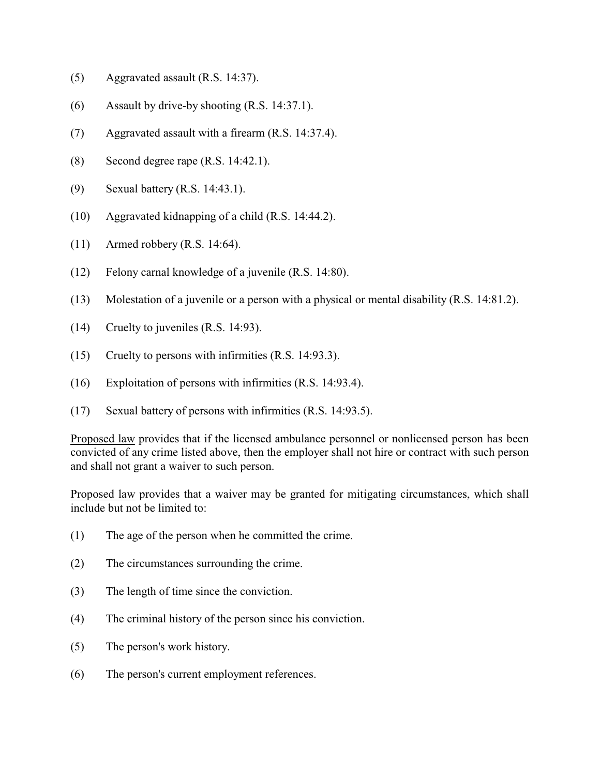- (5) Aggravated assault (R.S. 14:37).
- (6) Assault by drive-by shooting (R.S. 14:37.1).
- (7) Aggravated assault with a firearm (R.S. 14:37.4).
- (8) Second degree rape (R.S. 14:42.1).
- (9) Sexual battery (R.S. 14:43.1).
- (10) Aggravated kidnapping of a child (R.S. 14:44.2).
- (11) Armed robbery (R.S. 14:64).
- (12) Felony carnal knowledge of a juvenile (R.S. 14:80).
- (13) Molestation of a juvenile or a person with a physical or mental disability (R.S. 14:81.2).
- (14) Cruelty to juveniles (R.S. 14:93).
- (15) Cruelty to persons with infirmities (R.S. 14:93.3).
- (16) Exploitation of persons with infirmities (R.S. 14:93.4).
- (17) Sexual battery of persons with infirmities (R.S. 14:93.5).

Proposed law provides that if the licensed ambulance personnel or nonlicensed person has been convicted of any crime listed above, then the employer shall not hire or contract with such person and shall not grant a waiver to such person.

Proposed law provides that a waiver may be granted for mitigating circumstances, which shall include but not be limited to:

- (1) The age of the person when he committed the crime.
- (2) The circumstances surrounding the crime.
- (3) The length of time since the conviction.
- (4) The criminal history of the person since his conviction.
- (5) The person's work history.
- (6) The person's current employment references.